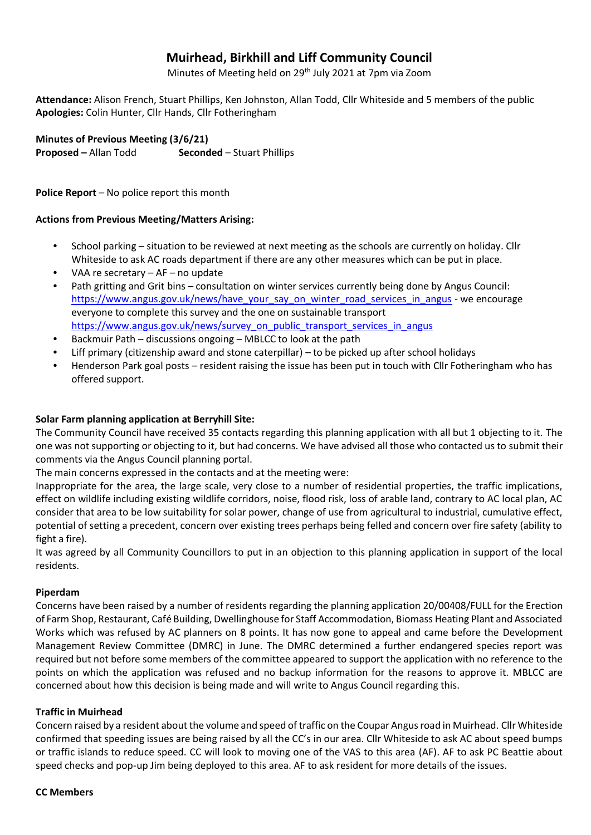# **Muirhead, Birkhill and Liff Community Council**

Minutes of Meeting held on 29th July 2021 at 7pm via Zoom

**Attendance:** Alison French, Stuart Phillips, Ken Johnston, Allan Todd, Cllr Whiteside and 5 members of the public **Apologies:** Colin Hunter, Cllr Hands, Cllr Fotheringham

**Minutes of Previous Meeting (3/6/21)** 

**Proposed** – Allan Todd **Seconded** – Stuart Phillips

**Police Report** – No police report this month

#### **Actions from Previous Meeting/Matters Arising:**

- School parking situation to be reviewed at next meeting as the schools are currently on holiday. Cllr Whiteside to ask AC roads department if there are any other measures which can be put in place.
- VAA re secretary  $-$  AF  $-$  no update
- Path gritting and Grit bins consultation on winter services currently being done by Angus Council: [https://www.angus.gov.uk/news/have\\_your\\_say\\_on\\_winter\\_road\\_services\\_in\\_angus](https://www.angus.gov.uk/news/have_your_say_on_winter_road_services_in_angus) - we encourage everyone to complete this survey and the one on sustainable transport [https://www.angus.gov.uk/news/survey\\_on\\_public\\_transport\\_services\\_in\\_angus](https://www.angus.gov.uk/news/survey_on_public_transport_services_in_angus)
- Backmuir Path discussions ongoing MBLCC to look at the path
- Liff primary (citizenship award and stone caterpillar) to be picked up after school holidays
- Henderson Park goal posts resident raising the issue has been put in touch with Cllr Fotheringham who has offered support.

#### **Solar Farm planning application at Berryhill Site:**

The Community Council have received 35 contacts regarding this planning application with all but 1 objecting to it. The one was not supporting or objecting to it, but had concerns. We have advised all those who contacted us to submit their comments via the Angus Council planning portal.

The main concerns expressed in the contacts and at the meeting were:

Inappropriate for the area, the large scale, very close to a number of residential properties, the traffic implications, effect on wildlife including existing wildlife corridors, noise, flood risk, loss of arable land, contrary to AC local plan, AC consider that area to be low suitability for solar power, change of use from agricultural to industrial, cumulative effect, potential of setting a precedent, concern over existing trees perhaps being felled and concern over fire safety (ability to fight a fire).

It was agreed by all Community Councillors to put in an objection to this planning application in support of the local residents.

#### **Piperdam**

Concerns have been raised by a number of residents regarding the planning application 20/00408/FULL for the Erection of Farm Shop, Restaurant, Café Building, Dwellinghouse for Staff Accommodation, Biomass Heating Plant and Associated Works which was refused by AC planners on 8 points. It has now gone to appeal and came before the Development Management Review Committee (DMRC) in June. The DMRC determined a further endangered species report was required but not before some members of the committee appeared to support the application with no reference to the points on which the application was refused and no backup information for the reasons to approve it. MBLCC are concerned about how this decision is being made and will write to Angus Council regarding this.

#### **Traffic in Muirhead**

Concern raised by a resident about the volume and speed of traffic on the Coupar Angus road in Muirhead. Cllr Whiteside confirmed that speeding issues are being raised by all the CC's in our area. Cllr Whiteside to ask AC about speed bumps or traffic islands to reduce speed. CC will look to moving one of the VAS to this area (AF). AF to ask PC Beattie about speed checks and pop-up Jim being deployed to this area. AF to ask resident for more details of the issues.